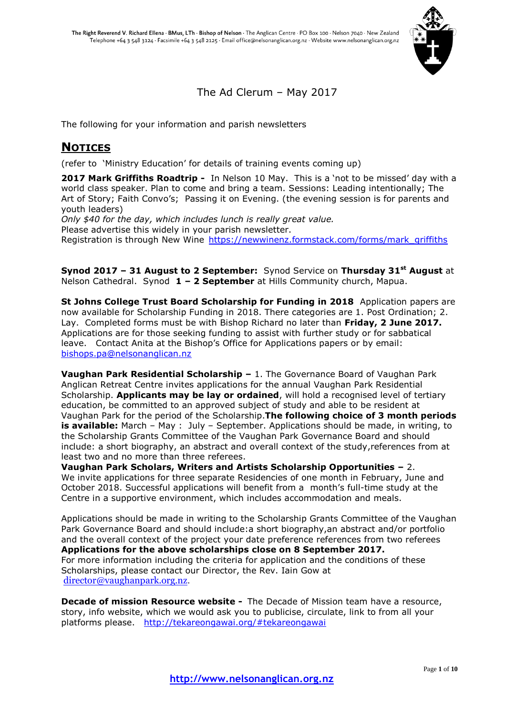

The Ad Clerum – May 2017

The following for your information and parish newsletters

# **NOTICES**

(refer to 'Ministry Education' for details of training events coming up)

**2017 Mark Griffiths Roadtrip -** In Nelson 10 May. This is a 'not to be missed' day with a world class speaker. Plan to come and bring a team. Sessions: Leading intentionally; The Art of Story; Faith Convo's; Passing it on Evening. (the evening session is for parents and youth leaders) *Only \$40 for the day, which includes lunch is really great value.*

Please advertise this widely in your parish newsletter. Registration is through New Wine [https://newwinenz.formstack.com/forms/mark\\_griffiths](https://newwinenz.formstack.com/forms/mark_griffiths)

**Synod 2017 – 31 August to 2 September:** Synod Service on **Thursday 31st August** at Nelson Cathedral. Synod **1 – 2 September** at Hills Community church, Mapua.

**St Johns College Trust Board Scholarship for Funding in 2018** Application papers are now available for Scholarship Funding in 2018. There categories are 1. Post Ordination; 2. Lay. Completed forms must be with Bishop Richard no later than **Friday, 2 June 2017.**  Applications are for those seeking funding to assist with further study or for sabbatical leave. Contact Anita at the Bishop's Office for Applications papers or by email: [bishops.pa@nelsonanglican.nz](mailto:bishops.pa@nelsonanglican.nz)

**Vaughan Park Residential Scholarship –** 1. The Governance Board of Vaughan Park Anglican Retreat Centre invites applications for the annual Vaughan Park Residential Scholarship. **Applicants may be lay or ordained**, will hold a recognised level of tertiary education, be committed to an approved subject of study and able to be resident at Vaughan Park for the period of the Scholarship.**The following choice of 3 month periods is available:** March – May : July – September. Applications should be made, in writing, to the Scholarship Grants Committee of the Vaughan Park Governance Board and should include: a short biography, an abstract and overall context of the study,references from at least two and no more than three referees.

**Vaughan Park Scholars, Writers and Artists Scholarship Opportunities –** 2. We invite applications for three separate Residencies of one month in February, June and October 2018. Successful applications will benefit from a month's full-time study at the Centre in a supportive environment, which includes accommodation and meals.

Applications should be made in writing to the Scholarship Grants Committee of the Vaughan Park Governance Board and should include:a short biography,an abstract and/or portfolio and the overall context of the project your date preference references from two referees **Applications for the above scholarships close on 8 September 2017.** For more information including the criteria for application and the conditions of these Scholarships, please contact our Director, the Rev. Iain Gow at [director@vaughanpark.org.nz.](mailto:director@vaughanpark.org.nz?subject=Scholars%2C%20Writers%20and%20Artists%20Scholarship%20enquiry)

**Decade of mission Resource website -** The Decade of Mission team have a resource, story, info website, which we would ask you to publicise, circulate, link to from all your platforms please. <http://tekareongawai.org/#tekareongawai>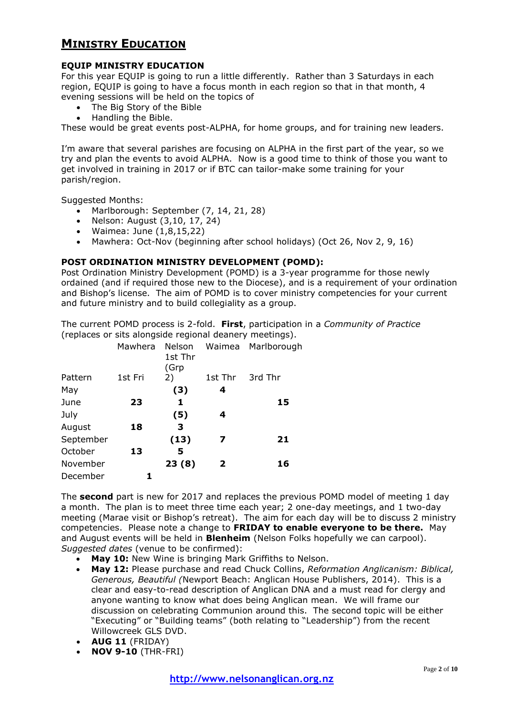# **MINISTRY EDUCATION**

## **EQUIP MINISTRY EDUCATION**

For this year EQUIP is going to run a little differently. Rather than 3 Saturdays in each region, EQUIP is going to have a focus month in each region so that in that month, 4 evening sessions will be held on the topics of

- The Big Story of the Bible
- Handling the Bible.

These would be great events post-ALPHA, for home groups, and for training new leaders.

I'm aware that several parishes are focusing on ALPHA in the first part of the year, so we try and plan the events to avoid ALPHA. Now is a good time to think of those you want to get involved in training in 2017 or if BTC can tailor-make some training for your parish/region.

Suggested Months:

- Marlborough: September (7, 14, 21, 28)
- Nelson: August (3,10, 17, 24)
- Waimea: June (1,8,15,22)
- Mawhera: Oct-Nov (beginning after school holidays) (Oct 26, Nov 2, 9, 16)

#### **POST ORDINATION MINISTRY DEVELOPMENT (POMD):**

Post Ordination Ministry Development (POMD) is a 3-year programme for those newly ordained (and if required those new to the Diocese), and is a requirement of your ordination and Bishop's license. The aim of POMD is to cover ministry competencies for your current and future ministry and to build collegiality as a group.

The current POMD process is 2-fold. **First**, participation in a *Community of Practice* (replaces or sits alongside regional deanery meetings).

| Mawhera | Nelson<br>1st Thr |              | Waimea Marlborough |
|---------|-------------------|--------------|--------------------|
| 1st Fri | 2)                | 1st Thr      | 3rd Thr            |
|         | (3)               | 4            |                    |
| 23      | 1                 |              | 15                 |
|         | (5)               | 4            |                    |
| 18      | 3                 |              |                    |
|         | (13)              | 7            | 21                 |
| 13      | 5                 |              |                    |
|         | 23(8)             | $\mathbf{2}$ | 16                 |
|         |                   |              |                    |
|         |                   | (Grp         |                    |

The **second** part is new for 2017 and replaces the previous POMD model of meeting 1 day a month. The plan is to meet three time each year; 2 one-day meetings, and 1 two-day meeting (Marae visit or Bishop's retreat). The aim for each day will be to discuss 2 ministry competencies. Please note a change to **FRIDAY to enable everyone to be there.** May and August events will be held in **Blenheim** (Nelson Folks hopefully we can carpool). *Suggested dates* (venue to be confirmed):

- **May 10:** New Wine is bringing Mark Griffiths to Nelson.
- **May 12:** Please purchase and read Chuck Collins, *Reformation Anglicanism: Biblical, Generous, Beautiful (*Newport Beach: Anglican House Publishers, 2014). This is a clear and easy-to-read description of Anglican DNA and a must read for clergy and anyone wanting to know what does being Anglican mean. We will frame our discussion on celebrating Communion around this. The second topic will be either "Executing" or "Building teams" (both relating to "Leadership") from the recent Willowcreek GLS DVD.
- **AUG 11** (FRIDAY)
- **NOV 9-10** (THR-FRI)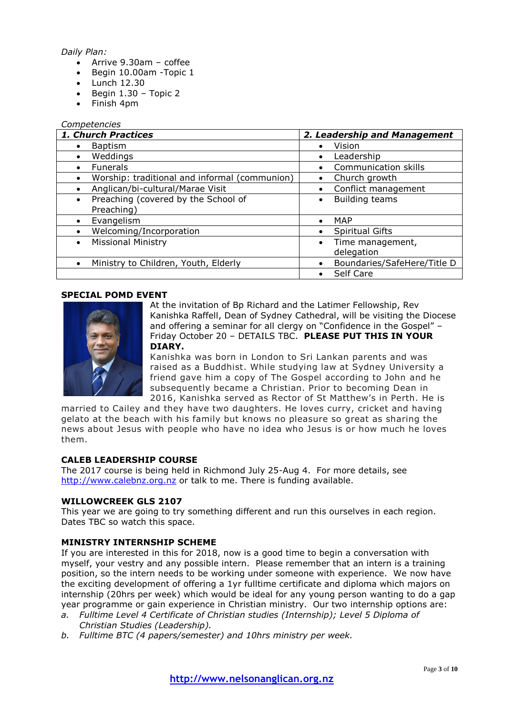#### *Daily Plan:*

- $\bullet$  Arrive 9.30am coffee
- Begin 10.00am -Topic 1
- $\bullet$  Lunch 12.30
- $\bullet$  Begin 1.30 Topic 2
- Finish 4pm

#### *Competencies*

| 1. Church Practices                              | 2. Leadership and Management             |  |
|--------------------------------------------------|------------------------------------------|--|
| <b>Baptism</b>                                   | Vision<br>$\bullet$                      |  |
| Weddings                                         | Leadership<br>$\bullet$                  |  |
| <b>Funerals</b>                                  | Communication skills<br>$\bullet$        |  |
| Worship: traditional and informal (communion)    | Church growth<br>$\bullet$               |  |
| Anglican/bi-cultural/Marae Visit                 | Conflict management<br>$\bullet$         |  |
| Preaching (covered by the School of<br>$\bullet$ | <b>Building teams</b><br>$\bullet$       |  |
| Preaching)                                       |                                          |  |
| Evangelism                                       | <b>MAP</b><br>$\bullet$                  |  |
| Welcoming/Incorporation                          | <b>Spiritual Gifts</b><br>$\bullet$      |  |
| <b>Missional Ministry</b><br>$\bullet$           | Time management,<br>$\bullet$            |  |
|                                                  | delegation                               |  |
| Ministry to Children, Youth, Elderly             | Boundaries/SafeHere/Title D<br>$\bullet$ |  |
|                                                  | Self Care                                |  |

#### **SPECIAL POMD EVENT**



At the invitation of Bp Richard and the Latimer Fellowship, Rev Kanishka Raffell, Dean of Sydney Cathedral, will be visiting the Diocese and offering a seminar for all clergy on "Confidence in the Gospel" – Friday October 20 – DETAILS TBC. **PLEASE PUT THIS IN YOUR DIARY.**

Kanishka was born in London to Sri Lankan parents and was raised as a Buddhist. While studying law at Sydney University a friend gave him a copy of The Gospel according to John and he subsequently became a Christian. Prior to becoming Dean in 2016, Kanishka served as Rector of St Matthew's in Perth. He is

married to Cailey and they have two daughters. He loves curry, cricket and having gelato at the beach with his family but knows no pleasure so great as sharing the news about Jesus with people who have no idea who Jesus is or how much he loves them.

#### **CALEB LEADERSHIP COURSE**

The 2017 course is being held in Richmond July 25-Aug 4. For more details, see [http://www.calebnz.org.nz](http://www.calebnz.org.nz/) or talk to me. There is funding available.

#### **WILLOWCREEK GLS 2107**

This year we are going to try something different and run this ourselves in each region. Dates TBC so watch this space.

#### **MINISTRY INTERNSHIP SCHEME**

If you are interested in this for 2018, now is a good time to begin a conversation with myself, your vestry and any possible intern. Please remember that an intern is a training position, so the intern needs to be working under someone with experience. We now have the exciting development of offering a 1yr fulltime certificate and diploma which majors on internship (20hrs per week) which would be ideal for any young person wanting to do a gap year programme or gain experience in Christian ministry. Our two internship options are:

- *a. Fulltime Level 4 Certificate of Christian studies (Internship); Level 5 Diploma of Christian Studies (Leadership).*
- *b. Fulltime BTC (4 papers/semester) and 10hrs ministry per week.*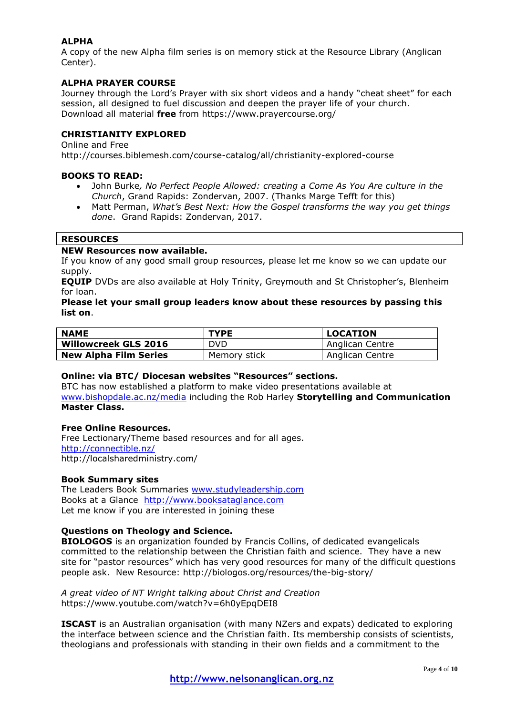## **ALPHA**

A copy of the new Alpha film series is on memory stick at the Resource Library (Anglican Center).

#### **ALPHA PRAYER COURSE**

Journey through the Lord's Prayer with six short videos and a handy "cheat sheet" for each session, all designed to fuel discussion and deepen the prayer life of your church. Download all material **free** from https://www.prayercourse.org/

#### **CHRISTIANITY EXPLORED**

Online and Free

http://courses.biblemesh.com/course-catalog/all/christianity-explored-course

#### **BOOKS TO READ:**

- John Burke*, No Perfect People Allowed: creating a Come As You Are culture in the Church*, Grand Rapids: Zondervan, 2007. (Thanks Marge Tefft for this)
- Matt Perman, *What's Best Next: How the Gospel transforms the way you get things done*. Grand Rapids: Zondervan, 2017.

## **RESOURCES**

#### **NEW Resources now available.**

If you know of any good small group resources, please let me know so we can update our supply.

**EQUIP** DVDs are also available at Holy Trinity, Greymouth and St Christopher's, Blenheim for loan.

**Please let your small group leaders know about these resources by passing this list on**.

| <b>NAME</b>                  | <b>TYPE</b>  | <b>LOCATION</b> |
|------------------------------|--------------|-----------------|
| <b>Willowcreek GLS 2016</b>  | DVD.         | Anglican Centre |
| <b>New Alpha Film Series</b> | Memory stick | Anglican Centre |

#### **Online: via BTC/ Diocesan websites "Resources" sections.**

BTC has now established a platform to make video presentations available at [www.bishopdale.ac.nz/media](http://www.bishopdale.ac.nz/media) including the Rob Harley **Storytelling and Communication Master Class.**

#### **Free Online Resources.**

Free Lectionary/Theme based resources and for all ages. <http://connectible.nz/> http://localsharedministry.com/

#### **Book Summary sites**

The Leaders Book Summaries [www.studyleadership.com](http://www.studyleadership.com/) Books at a Glance [http://www.booksataglance.com](http://www.booksataglance.com/) Let me know if you are interested in joining these

#### **Questions on Theology and Science.**

**BIOLOGOS** is an organization founded by Francis Collins, of dedicated evangelicals committed to the relationship between the Christian faith and science. They have a new site for "pastor resources" which has very good resources for many of the difficult questions people ask. New Resource: http://biologos.org/resources/the-big-story/

*A great video of NT Wright talking about Christ and Creation* https://www.youtube.com/watch?v=6h0yEpqDEI8

**ISCAST** is an Australian organisation (with many NZers and expats) dedicated to exploring the interface between science and the Christian faith. Its membership consists of scientists, theologians and professionals with standing in their own fields and a commitment to the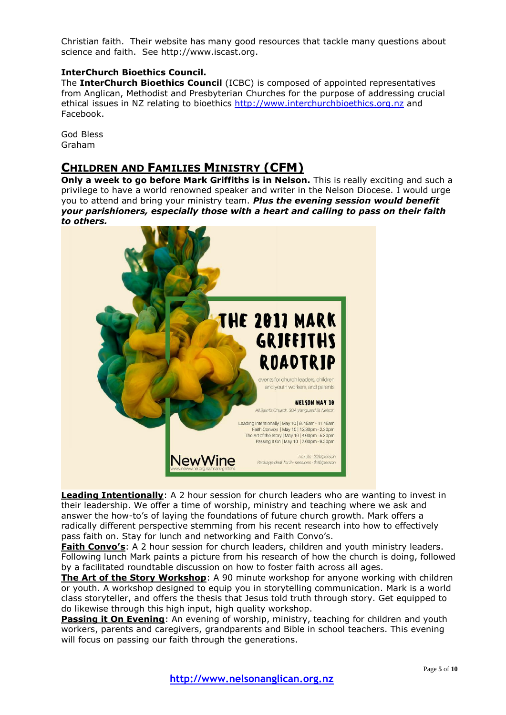Christian faith. Their website has many good resources that tackle many questions about science and faith. See http://www.iscast.org.

#### **InterChurch Bioethics Council.**

The **InterChurch Bioethics Council** (ICBC) is composed of appointed representatives from Anglican, Methodist and Presbyterian Churches for the purpose of addressing crucial ethical issues in NZ relating to bioethics [http://www.interchurchbioethics.org.nz](http://www.interchurchbioethics.org.nz/) and Facebook.

God Bless Graham

## **CHILDREN AND FAMILIES MINISTRY (CFM)**

**Only a week to go before Mark Griffiths is in Nelson.** This is really exciting and such a privilege to have a world renowned speaker and writer in the Nelson Diocese. I would urge you to attend and bring your ministry team. *Plus the evening session would benefit your parishioners, especially those with a heart and calling to pass on their faith to others.*



**Leading Intentionally**: A 2 hour session for church leaders who are wanting to invest in their leadership. We offer a time of worship, ministry and teaching where we ask and answer the how-to's of laying the foundations of future church growth. Mark offers a radically different perspective stemming from his recent research into how to effectively pass faith on. Stay for lunch and networking and Faith Convo's.

**Faith Convo's**: A 2 hour session for church leaders, children and youth ministry leaders. Following lunch Mark paints a picture from his research of how the church is doing, followed by a facilitated roundtable discussion on how to foster faith across all ages.

**The Art of the Story Workshop**: A 90 minute workshop for anyone working with children or youth. A workshop designed to equip you in storytelling communication. Mark is a world class storyteller, and offers the thesis that Jesus told truth through story. Get equipped to do likewise through this high input, high quality workshop.

**Passing it On Evening**: An evening of worship, ministry, teaching for children and youth workers, parents and caregivers, grandparents and Bible in school teachers. This evening will focus on passing our faith through the generations.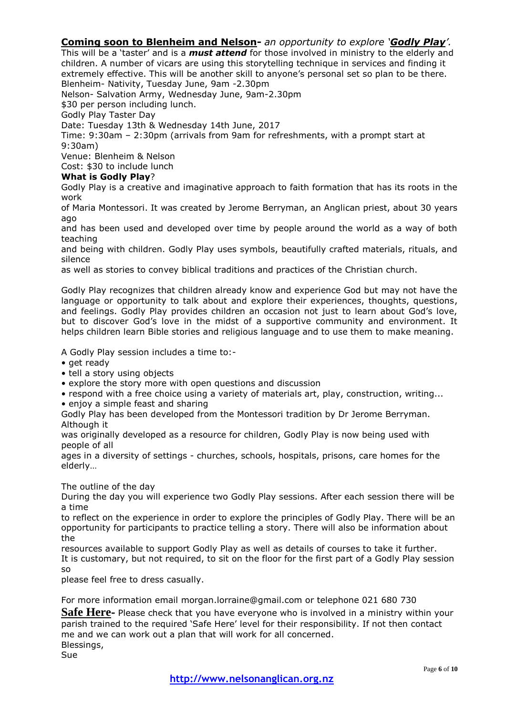## **Coming soon to Blenheim and Nelson-** *an opportunity to explore 'Godly Play'.*

This will be a 'taster' and is a *must attend* for those involved in ministry to the elderly and children. A number of vicars are using this storytelling technique in services and finding it extremely effective. This will be another skill to anyone's personal set so plan to be there. Blenheim- Nativity, Tuesday June, 9am -2.30pm

Nelson- Salvation Army, Wednesday June, 9am-2.30pm

\$30 per person including lunch.

Godly Play Taster Day

Date: Tuesday 13th & Wednesday 14th June, 2017

Time: 9:30am – 2:30pm (arrivals from 9am for refreshments, with a prompt start at 9:30am)

Venue: Blenheim & Nelson

Cost: \$30 to include lunch

#### **What is Godly Play**?

Godly Play is a creative and imaginative approach to faith formation that has its roots in the work

of Maria Montessori. It was created by Jerome Berryman, an Anglican priest, about 30 years ago

and has been used and developed over time by people around the world as a way of both teaching

and being with children. Godly Play uses symbols, beautifully crafted materials, rituals, and silence

as well as stories to convey biblical traditions and practices of the Christian church.

Godly Play recognizes that children already know and experience God but may not have the language or opportunity to talk about and explore their experiences, thoughts, questions, and feelings. Godly Play provides children an occasion not just to learn about God's love, but to discover God's love in the midst of a supportive community and environment. It helps children learn Bible stories and religious language and to use them to make meaning.

A Godly Play session includes a time to:-

- get ready
- tell a story using objects
- explore the story more with open questions and discussion
- respond with a free choice using a variety of materials art, play, construction, writing...
- enjoy a simple feast and sharing

Godly Play has been developed from the Montessori tradition by Dr Jerome Berryman. Although it

was originally developed as a resource for children, Godly Play is now being used with people of all

ages in a diversity of settings - churches, schools, hospitals, prisons, care homes for the elderly…

The outline of the day

During the day you will experience two Godly Play sessions. After each session there will be a time

to reflect on the experience in order to explore the principles of Godly Play. There will be an opportunity for participants to practice telling a story. There will also be information about the

resources available to support Godly Play as well as details of courses to take it further. It is customary, but not required, to sit on the floor for the first part of a Godly Play session so

please feel free to dress casually.

For more information email morgan.lorraine@gmail.com or telephone 021 680 730

**Safe Here-** Please check that you have everyone who is involved in a ministry within your parish trained to the required 'Safe Here' level for their responsibility. If not then contact me and we can work out a plan that will work for all concerned. Blessings,

Sue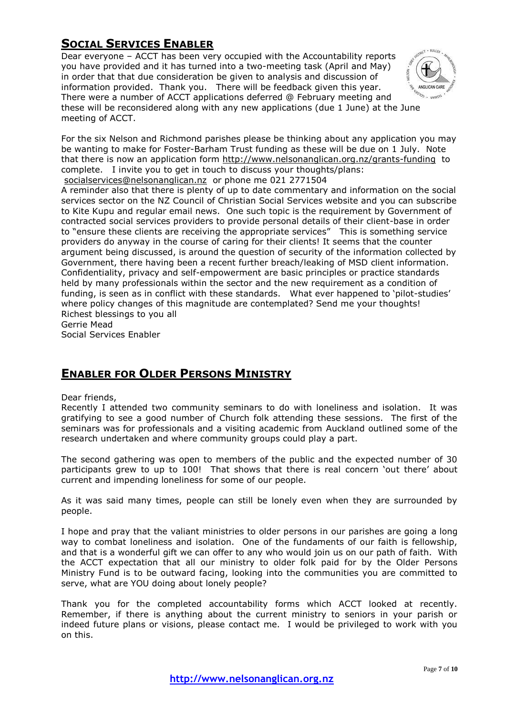# **SOCIAL SERVICES ENABLER**

Dear everyone – ACCT has been very occupied with the Accountability reports you have provided and it has turned into a two-meeting task (April and May) in order that that due consideration be given to analysis and discussion of information provided. Thank you. There will be feedback given this year. There were a number of ACCT applications deferred @ February meeting and these will be reconsidered along with any new applications (due 1 June) at the June meeting of ACCT.



For the six Nelson and Richmond parishes please be thinking about any application you may be wanting to make for Foster-Barham Trust funding as these will be due on 1 July. Note that there is now an application form<http://www.nelsonanglican.org.nz/grants-funding> to complete. I invite you to get in touch to discuss your thoughts/plans: [socialservices@nelsonanglican.nz](mailto:socialservices@nelsonanglican.nz) or phone me 021 2771504

A reminder also that there is plenty of up to date commentary and information on the social services sector on the NZ Council of Christian Social Services website and you can subscribe to Kite Kupu and regular email news. One such topic is the requirement by Government of contracted social services providers to provide personal details of their client-base in order to "ensure these clients are receiving the appropriate services" This is something service providers do anyway in the course of caring for their clients! It seems that the counter argument being discussed, is around the question of security of the information collected by Government, there having been a recent further breach/leaking of MSD client information. Confidentiality, privacy and self-empowerment are basic principles or practice standards held by many professionals within the sector and the new requirement as a condition of funding, is seen as in conflict with these standards. What ever happened to 'pilot-studies' where policy changes of this magnitude are contemplated? Send me your thoughts! Richest blessings to you all Gerrie Mead

Social Services Enabler

## **ENABLER FOR OLDER PERSONS MINISTRY**

#### Dear friends,

Recently I attended two community seminars to do with loneliness and isolation. It was gratifying to see a good number of Church folk attending these sessions. The first of the seminars was for professionals and a visiting academic from Auckland outlined some of the research undertaken and where community groups could play a part.

The second gathering was open to members of the public and the expected number of 30 participants grew to up to 100! That shows that there is real concern 'out there' about current and impending loneliness for some of our people.

As it was said many times, people can still be lonely even when they are surrounded by people.

I hope and pray that the valiant ministries to older persons in our parishes are going a long way to combat loneliness and isolation. One of the fundaments of our faith is fellowship, and that is a wonderful gift we can offer to any who would join us on our path of faith. With the ACCT expectation that all our ministry to older folk paid for by the Older Persons Ministry Fund is to be outward facing, looking into the communities you are committed to serve, what are YOU doing about lonely people?

Thank you for the completed accountability forms which ACCT looked at recently. Remember, if there is anything about the current ministry to seniors in your parish or indeed future plans or visions, please contact me. I would be privileged to work with you on this.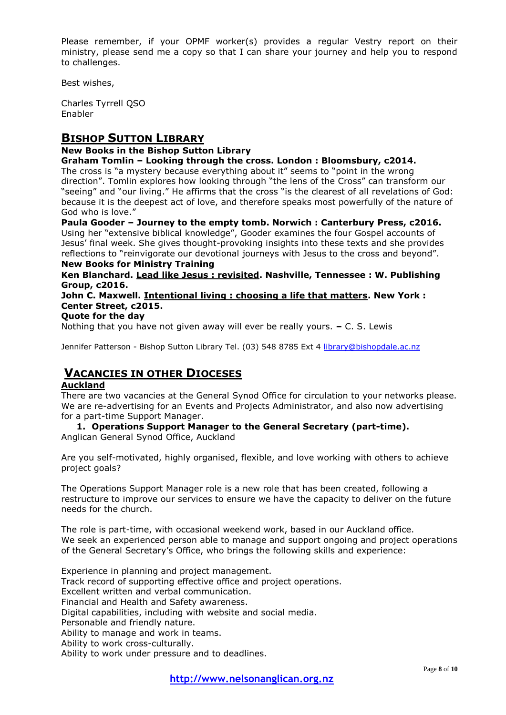Please remember, if your OPMF worker(s) provides a regular Vestry report on their ministry, please send me a copy so that I can share your journey and help you to respond to challenges.

Best wishes,

Charles Tyrrell QSO Enabler

## **BISHOP SUTTON LIBRARY**

## **New Books in the Bishop Sutton Library**

#### **Graham Tomlin – Looking through the cross. London : Bloomsbury, c2014.**

The cross is "a mystery because everything about it" seems to "point in the wrong direction". Tomlin explores how looking through "the lens of the Cross" can transform our "seeing" and "our living." He affirms that the cross "is the clearest of all revelations of God: because it is the deepest act of love, and therefore speaks most powerfully of the nature of God who is love."

**Paula Gooder – Journey to the empty tomb. Norwich : Canterbury Press, c2016.** Using her "extensive biblical knowledge", Gooder examines the four Gospel accounts of Jesus' final week. She gives thought-provoking insights into these texts and she provides reflections to "reinvigorate our devotional journeys with Jesus to the cross and beyond".

#### **New Books for Ministry Training**

**Ken Blanchard. Lead like Jesus : revisited. Nashville, Tennessee : W. Publishing Group, c2016.**

**John C. Maxwell. Intentional living : choosing a life that matters. New York : Center Street, c2015.**

#### **Quote for the day**

Nothing that you have not given away will ever be really yours. **–** C. S. Lewis

Jennifer Patterson - Bishop Sutton Library Tel. (03) 548 8785 Ext 4 [library@bishopdale.ac.nz](mailto:library@bishopdale.ac.nz)

## **VACANCIES IN OTHER DIOCESES**

#### **Auckland**

There are two vacancies at the General Synod Office for circulation to your networks please. We are re-advertising for an Events and Projects Administrator, and also now advertising for a part-time Support Manager.

**1. Operations Support Manager to the General Secretary (part-time).** Anglican General Synod Office, Auckland

Are you self-motivated, highly organised, flexible, and love working with others to achieve project goals?

The Operations Support Manager role is a new role that has been created, following a restructure to improve our services to ensure we have the capacity to deliver on the future needs for the church.

The role is part-time, with occasional weekend work, based in our Auckland office. We seek an experienced person able to manage and support ongoing and project operations of the General Secretary's Office, who brings the following skills and experience:

Experience in planning and project management. Track record of supporting effective office and project operations. Excellent written and verbal communication. Financial and Health and Safety awareness. Digital capabilities, including with website and social media. Personable and friendly nature. Ability to manage and work in teams. Ability to work cross-culturally. Ability to work under pressure and to deadlines.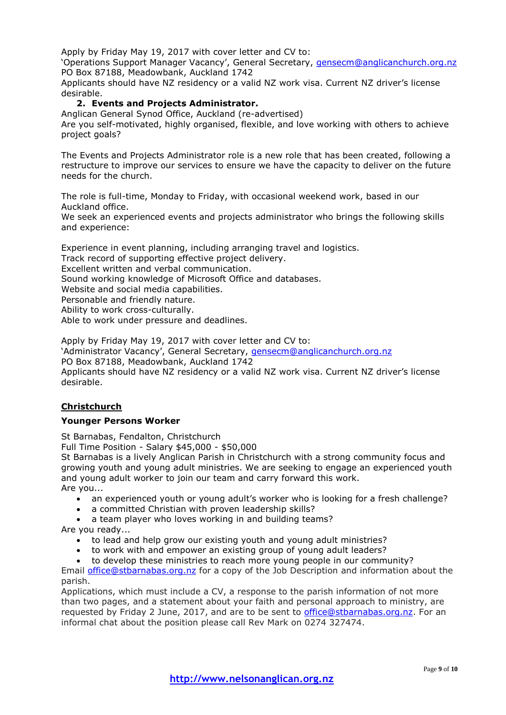Apply by Friday May 19, 2017 with cover letter and CV to:

'Operations Support Manager Vacancy', General Secretary, *[gensecm@anglicanchurch.org.nz](mailto:gensecm@anglicanchurch.org.nz)* PO Box 87188, Meadowbank, Auckland 1742

Applicants should have NZ residency or a valid NZ work visa. Current NZ driver's license desirable.

## **2. Events and Projects Administrator.**

Anglican General Synod Office, Auckland (re-advertised)

Are you self-motivated, highly organised, flexible, and love working with others to achieve project goals?

The Events and Projects Administrator role is a new role that has been created, following a restructure to improve our services to ensure we have the capacity to deliver on the future needs for the church.

The role is full-time, Monday to Friday, with occasional weekend work, based in our Auckland office.

We seek an experienced events and projects administrator who brings the following skills and experience:

Experience in event planning, including arranging travel and logistics.

Track record of supporting effective project delivery.

Excellent written and verbal communication.

Sound working knowledge of Microsoft Office and databases.

Website and social media capabilities.

Personable and friendly nature.

Ability to work cross-culturally.

Able to work under pressure and deadlines.

Apply by Friday May 19, 2017 with cover letter and CV to:

'Administrator Vacancy', General Secretary, [gensecm@anglicanchurch.org.nz](mailto:gensecm@anglicanchurch.org.nz)

PO Box 87188, Meadowbank, Auckland 1742

Applicants should have NZ residency or a valid NZ work visa. Current NZ driver's license desirable.

## **Christchurch**

#### **Younger Persons Worker**

St Barnabas, Fendalton, Christchurch

Full Time Position - Salary \$45,000 - \$50,000

St Barnabas is a lively Anglican Parish in Christchurch with a strong community focus and growing youth and young adult ministries. We are seeking to engage an experienced youth and young adult worker to join our team and carry forward this work. Are you...

- an experienced youth or young adult's worker who is looking for a fresh challenge?
- a committed Christian with proven leadership skills?
- a team player who loves working in and building teams?

Are you ready...

- to lead and help grow our existing youth and young adult ministries?
- to work with and empower an existing group of young adult leaders?
- to develop these ministries to reach more young people in our community?

Email [office@stbarnabas.org.nz](mailto:office@stbarnabas.org.nz) for a copy of the Job Description and information about the parish.

Applications, which must include a CV, a response to the parish information of not more than two pages, and a statement about your faith and personal approach to ministry, are requested by Friday 2 June, 2017, and are to be sent to [office@stbarnabas.org.nz.](mailto:office@stbarnabas.org.nz) For an informal chat about the position please call Rev Mark on 0274 327474.